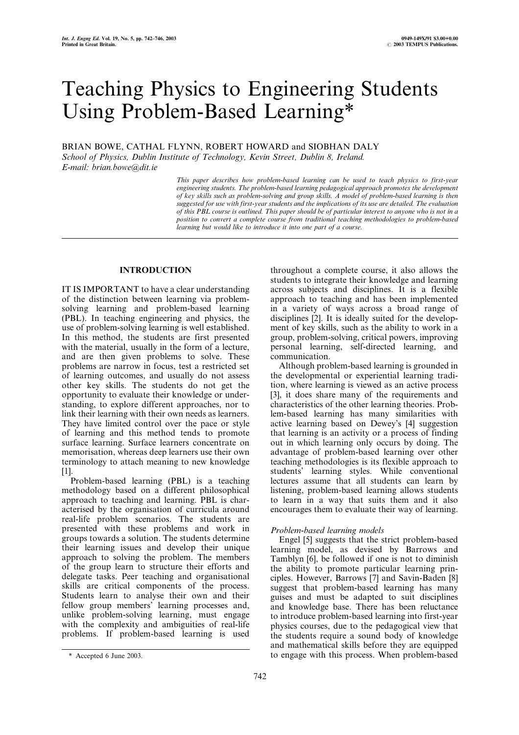# Teaching Physics to Engineering Students Using Problem-Based Learning\*

BRIAN BOWE, CATHAL FLYNN, ROBERT HOWARD and SIOBHAN DALY School of Physics, Dublin Institute of Technology, Kevin Street, Dublin 8, Ireland.

E-mail: brian.bowe@dit.ie

This paper describes how problem-based learning can be used to teach physics to first-year engineering students. The problem-based learning pedagogical approach promotes the development of key skills such as problem-solving and group skills. A model of problem-based learning is then suggested for use with first-year students and the implications of its use are detailed. The evaluation of this PBL course is outlined. This paper should be of particular interest to anyone who is not in a position to convert a complete course from traditional teaching methodologies to problem-based learning but would like to introduce it into one part of a course.

# INTRODUCTION

IT IS IMPORTANT to have a clear understanding of the distinction between learning via problemsolving learning and problem-based learning (PBL). In teaching engineering and physics, the use of problem-solving learning is well established. In this method, the students are first presented with the material, usually in the form of a lecture, and are then given problems to solve. These problems are narrow in focus, test a restricted set of learning outcomes, and usually do not assess other key skills. The students do not get the opportunity to evaluate their knowledge or understanding, to explore different approaches, nor to link their learning with their own needs as learners. They have limited control over the pace or style of learning and this method tends to promote surface learning. Surface learners concentrate on memorisation, whereas deep learners use their own terminology to attach meaning to new knowledge [1].

Problem-based learning (PBL) is a teaching methodology based on a different philosophical approach to teaching and learning. PBL is characterised by the organisation of curricula around real-life problem scenarios. The students are presented with these problems and work in groups towards a solution. The students determine their learning issues and develop their unique approach to solving the problem. The members of the group learn to structure their efforts and delegate tasks. Peer teaching and organisational skills are critical components of the process. Students learn to analyse their own and their fellow group members' learning processes and, unlike problem-solving learning, must engage with the complexity and ambiguities of real-life problems. If problem-based learning is used

throughout a complete course, it also allows the students to integrate their knowledge and learning across subjects and disciplines. It is a flexible approach to teaching and has been implemented in a variety of ways across a broad range of disciplines [2]. It is ideally suited for the development of key skills, such as the ability to work in a group, problem-solving, critical powers, improving personal learning, self-directed learning, and communication.

Although problem-based learning is grounded in the developmental or experiential learning tradition, where learning is viewed as an active process [3], it does share many of the requirements and characteristics of the other learning theories. Problem-based learning has many similarities with active learning based on Dewey's [4] suggestion that learning is an activity or a process of finding out in which learning only occurs by doing. The advantage of problem-based learning over other teaching methodologies is its flexible approach to students' learning styles. While conventional lectures assume that all students can learn by listening, problem-based learning allows students to learn in a way that suits them and it also encourages them to evaluate their way of learning.

# Problem-based learning models

Engel [5] suggests that the strict problem-based learning model, as devised by Barrows and Tamblyn [6], be followed if one is not to diminish the ability to promote particular learning principles. However, Barrows [7] and Savin-Baden [8] suggest that problem-based learning has many guises and must be adapted to suit disciplines and knowledge base. There has been reluctance to introduce problem-based learning into first-year physics courses, due to the pedagogical view that the students require a sound body of knowledge and mathematical skills before they are equipped \* Accepted 6 June 2003. to engage with this process. When problem-based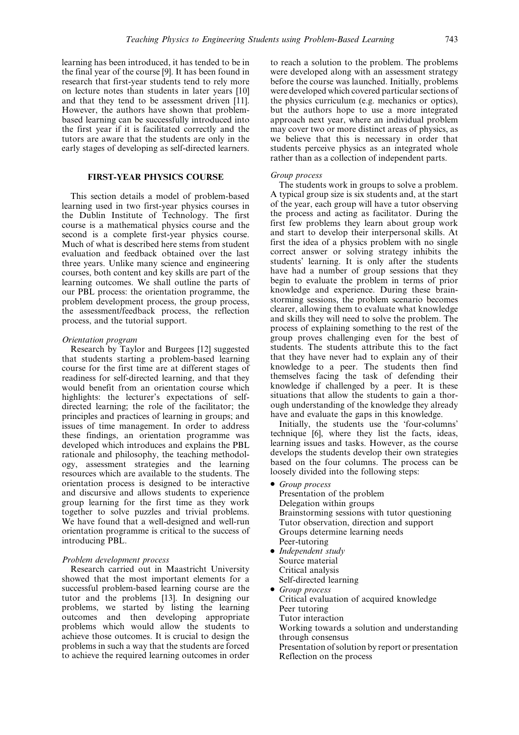learning has been introduced, it has tended to be in the final year of the course [9]. It has been found in research that first-year students tend to rely more on lecture notes than students in later years [10] and that they tend to be assessment driven [11]. However, the authors have shown that problembased learning can be successfully introduced into the first year if it is facilitated correctly and the tutors are aware that the students are only in the early stages of developing as self-directed learners.

# FIRST-YEAR PHYSICS COURSE

This section details a model of problem-based learning used in two first-year physics courses in the Dublin Institute of Technology. The first course is a mathematical physics course and the second is a complete first-year physics course. Much of what is described here stems from student evaluation and feedback obtained over the last three years. Unlike many science and engineering courses, both content and key skills are part of the learning outcomes. We shall outline the parts of our PBL process: the orientation programme, the problem development process, the group process, the assessment/feedback process, the reflection process, and the tutorial support.

#### Orientation program

Research by Taylor and Burgees [12] suggested that students starting a problem-based learning course for the first time are at different stages of readiness for self-directed learning, and that they would benefit from an orientation course which highlights: the lecturer's expectations of selfdirected learning; the role of the facilitator; the principles and practices of learning in groups; and issues of time management. In order to address these findings, an orientation programme was developed which introduces and explains the PBL rationale and philosophy, the teaching methodology, assessment strategies and the learning resources which are available to the students. The orientation process is designed to be interactive and discursive and allows students to experience group learning for the first time as they work together to solve puzzles and trivial problems. We have found that a well-designed and well-run orientation programme is critical to the success of introducing PBL.

#### Problem development process

Research carried out in Maastricht University showed that the most important elements for a successful problem-based learning course are the tutor and the problems [13]. In designing our problems, we started by listing the learning outcomes and then developing appropriate problems which would allow the students to achieve those outcomes. It is crucial to design the problems in such a way that the students are forced to achieve the required learning outcomes in order to reach a solution to the problem. The problems were developed along with an assessment strategy before the course was launched. Initially, problems were developed which covered particular sections of the physics curriculum (e.g. mechanics or optics), but the authors hope to use a more integrated approach next year, where an individual problem may cover two or more distinct areas of physics, as we believe that this is necessary in order that students perceive physics as an integrated whole rather than as a collection of independent parts.

#### Group process

The students work in groups to solve a problem. A typical group size is six students and, at the start of the year, each group will have a tutor observing the process and acting as facilitator. During the first few problems they learn about group work and start to develop their interpersonal skills. At first the idea of a physics problem with no single correct answer or solving strategy inhibits the students' learning. It is only after the students have had a number of group sessions that they begin to evaluate the problem in terms of prior knowledge and experience. During these brainstorming sessions, the problem scenario becomes clearer, allowing them to evaluate what knowledge and skills they will need to solve the problem. The process of explaining something to the rest of the group proves challenging even for the best of students. The students attribute this to the fact that they have never had to explain any of their knowledge to a peer. The students then find themselves facing the task of defending their knowledge if challenged by a peer. It is these situations that allow the students to gain a thorough understanding of the knowledge they already have and evaluate the gaps in this knowledge.

Initially, the students use the `four-columns' technique [6], where they list the facts, ideas, learning issues and tasks. However, as the course develops the students develop their own strategies based on the four columns. The process can be loosely divided into the following steps:

. Group process

Presentation of the problem Delegation within groups Brainstorming sessions with tutor questioning Tutor observation, direction and support Groups determine learning needs Peer-tutoring

- Independent study Source material Critical analysis
	- Self-directed learning
- . Group process

Critical evaluation of acquired knowledge Peer tutoring

- Tutor interaction
- Working towards a solution and understanding through consensus
- Presentation of solution by report or presentation Reflection on the process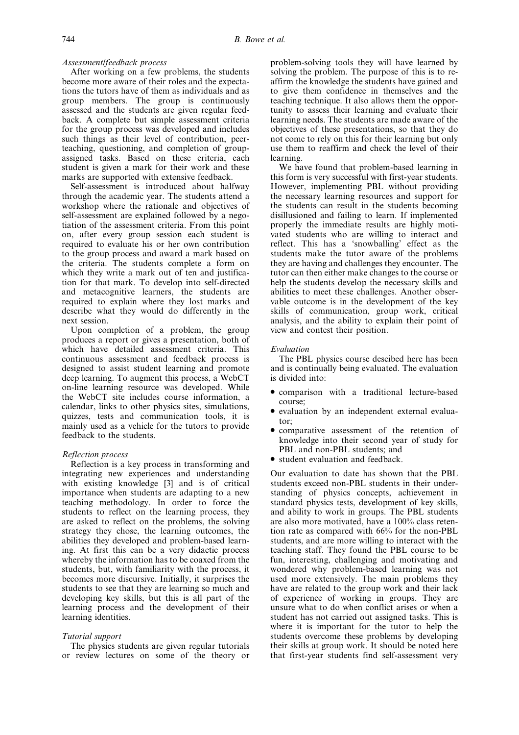# Assessment/feedback process

After working on a few problems, the students become more aware of their roles and the expectations the tutors have of them as individuals and as group members. The group is continuously assessed and the students are given regular feedback. A complete but simple assessment criteria for the group process was developed and includes such things as their level of contribution, peerteaching, questioning, and completion of groupassigned tasks. Based on these criteria, each student is given a mark for their work and these marks are supported with extensive feedback.

Self-assessment is introduced about halfway through the academic year. The students attend a workshop where the rationale and objectives of self-assessment are explained followed by a negotiation of the assessment criteria. From this point on, after every group session each student is required to evaluate his or her own contribution to the group process and award a mark based on the criteria. The students complete a form on which they write a mark out of ten and justification for that mark. To develop into self-directed and metacognitive learners, the students are required to explain where they lost marks and describe what they would do differently in the next session.

Upon completion of a problem, the group produces a report or gives a presentation, both of which have detailed assessment criteria. This continuous assessment and feedback process is designed to assist student learning and promote deep learning. To augment this process, a WebCT on-line learning resource was developed. While the WebCT site includes course information, a calendar, links to other physics sites, simulations, quizzes, tests and communication tools, it is mainly used as a vehicle for the tutors to provide feedback to the students.

### Reflection process

Reflection is a key process in transforming and integrating new experiences and understanding with existing knowledge [3] and is of critical importance when students are adapting to a new teaching methodology. In order to force the students to reflect on the learning process, they are asked to reflect on the problems, the solving strategy they chose, the learning outcomes, the abilities they developed and problem-based learning. At first this can be a very didactic process whereby the information has to be coaxed from the students, but, with familiarity with the process, it becomes more discursive. Initially, it surprises the students to see that they are learning so much and developing key skills, but this is all part of the learning process and the development of their learning identities.

#### Tutorial support

The physics students are given regular tutorials or review lectures on some of the theory or problem-solving tools they will have learned by solving the problem. The purpose of this is to reaffirm the knowledge the students have gained and to give them confidence in themselves and the teaching technique. It also allows them the opportunity to assess their learning and evaluate their learning needs. The students are made aware of the objectives of these presentations, so that they do not come to rely on this for their learning but only use them to reaffirm and check the level of their learning.

We have found that problem-based learning in this form is very successful with first-year students. However, implementing PBL without providing the necessary learning resources and support for the students can result in the students becoming disillusioned and failing to learn. If implemented properly the immediate results are highly motivated students who are willing to interact and reflect. This has a `snowballing' effect as the students make the tutor aware of the problems they are having and challenges they encounter. The tutor can then either make changes to the course or help the students develop the necessary skills and abilities to meet these challenges. Another observable outcome is in the development of the key skills of communication, group work, critical analysis, and the ability to explain their point of view and contest their position.

#### Evaluation

The PBL physics course descibed here has been and is continually being evaluated. The evaluation is divided into:

- . comparison with a traditional lecture-based course;
- . evaluation by an independent external evaluator;
- . comparative assessment of the retention of knowledge into their second year of study for PBL and non-PBL students; and
- . student evaluation and feedback.

Our evaluation to date has shown that the PBL students exceed non-PBL students in their understanding of physics concepts, achievement in standard physics tests, development of key skills, and ability to work in groups. The PBL students are also more motivated, have a 100% class retention rate as compared with 66% for the non-PBL students, and are more willing to interact with the teaching staff. They found the PBL course to be fun, interesting, challenging and motivating and wondered why problem-based learning was not used more extensively. The main problems they have are related to the group work and their lack of experience of working in groups. They are unsure what to do when conflict arises or when a student has not carried out assigned tasks. This is where it is important for the tutor to help the students overcome these problems by developing their skills at group work. It should be noted here that first-year students find self-assessment very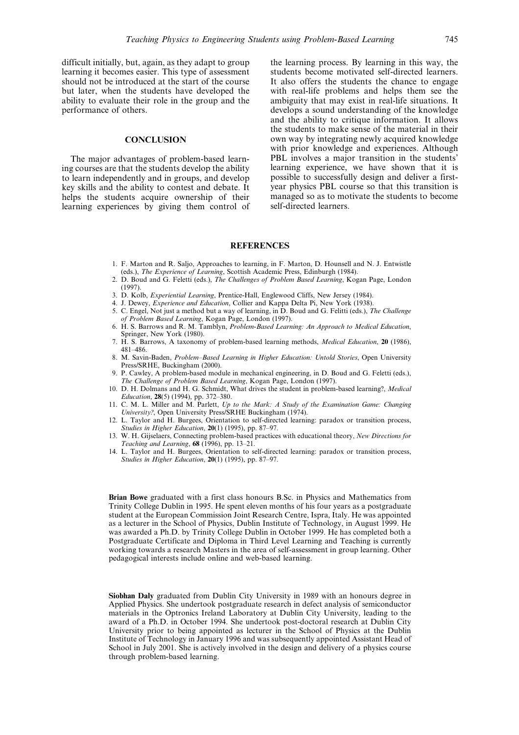difficult initially, but, again, as they adapt to group learning it becomes easier. This type of assessment should not be introduced at the start of the course but later, when the students have developed the ability to evaluate their role in the group and the performance of others.

## **CONCLUSION**

The major advantages of problem-based learning courses are that the students develop the ability to learn independently and in groups, and develop key skills and the ability to contest and debate. It helps the students acquire ownership of their learning experiences by giving them control of the learning process. By learning in this way, the students become motivated self-directed learners. It also offers the students the chance to engage with real-life problems and helps them see the ambiguity that may exist in real-life situations. It develops a sound understanding of the knowledge and the ability to critique information. It allows the students to make sense of the material in their own way by integrating newly acquired knowledge with prior knowledge and experiences. Although PBL involves a major transition in the students' learning experience, we have shown that it is possible to successfully design and deliver a firstyear physics PBL course so that this transition is managed so as to motivate the students to become self-directed learners.

#### **REFERENCES**

- 1. F. Marton and R. Saljo, Approaches to learning, in F. Marton, D. Hounsell and N. J. Entwistle (eds.), The Experience of Learning, Scottish Academic Press, Edinburgh (1984).
- 2. D. Boud and G. Feletti (eds.), The Challenges of Problem Based Learning, Kogan Page, London (1997).
- 3. D. Kolb, Experiential Learning, Prentice-Hall, Englewood Cliffs, New Jersey (1984).
- 4. J. Dewey, Experience and Education, Collier and Kappa Delta Pi, New York (1938). 5. C. Engel, Not just a method but a way of learning, in D. Boud and G. Felitti (eds.), The Challenge
- of Problem Based Learning, Kogan Page, London (1997). 6. H. S. Barrows and R. M. Tamblyn, Problem-Based Learning: An Approach to Medical Education,
- Springer, New York (1980). 7. H. S. Barrows, A taxonomy of problem-based learning methods, Medical Education, 20 (1986), 481±486.
- 8. M. Savin-Baden, Problem-Based Learning in Higher Education: Untold Stories, Open University Press/SRHE, Buckingham (2000).
- 9. P. Cawley, A problem-based module in mechanical engineering, in D. Boud and G. Feletti (eds.), The Challenge of Problem Based Learning, Kogan Page, London (1997).
- 10. D. H. Dolmans and H. G. Schmidt, What drives the student in problem-based learning?, Medical Education, 28(5) (1994), pp. 372-380.
- 11. C. M. L. Miller and M. Parlett, Up to the Mark: A Study of the Examination Game: Changing University?, Open University Press/SRHE Buckingham (1974).
- 12. L. Taylor and H. Burgees, Orientation to self-directed learning: paradox or transition process, Studies in Higher Education,  $20(1)$  (1995), pp. 87-97.
- 13. W. H. Gijselaers, Connecting problem-based practices with educational theory, New Directions for Teaching and Learning,  $68$  (1996), pp. 13-21.
- 14. L. Taylor and H. Burgees, Orientation to self-directed learning: paradox or transition process, Studies in Higher Education,  $20(1)$  (1995), pp. 87-97.

Brian Bowe graduated with a first class honours B.Sc. in Physics and Mathematics from Trinity College Dublin in 1995. He spent eleven months of his four years as a postgraduate student at the European Commission Joint Research Centre, Ispra, Italy. He was appointed as a lecturer in the School of Physics, Dublin Institute of Technology, in August 1999. He was awarded a Ph.D. by Trinity College Dublin in October 1999. He has completed both a Postgraduate Certificate and Diploma in Third Level Learning and Teaching is currently working towards a research Masters in the area of self-assessment in group learning. Other pedagogical interests include online and web-based learning.

Siobhan Daly graduated from Dublin City University in 1989 with an honours degree in Applied Physics. She undertook postgraduate research in defect analysis of semiconductor materials in the Optronics Ireland Laboratory at Dublin City University, leading to the award of a Ph.D. in October 1994. She undertook post-doctoral research at Dublin City University prior to being appointed as lecturer in the School of Physics at the Dublin Institute of Technology in January 1996 and was subsequently appointed Assistant Head of School in July 2001. She is actively involved in the design and delivery of a physics course through problem-based learning.